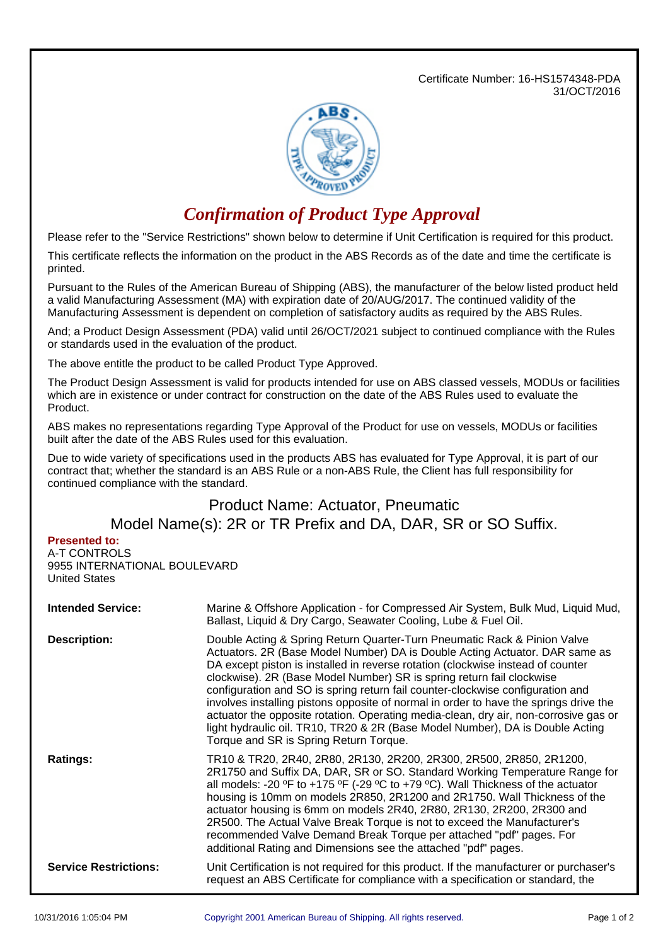Certificate Number: 16-HS1574348-PDA 31/OCT/2016



## *Confirmation of Product Type Approval*

Please refer to the "Service Restrictions" shown below to determine if Unit Certification is required for this product.

This certificate reflects the information on the product in the ABS Records as of the date and time the certificate is printed.

Pursuant to the Rules of the American Bureau of Shipping (ABS), the manufacturer of the below listed product held a valid Manufacturing Assessment (MA) with expiration date of 20/AUG/2017. The continued validity of the Manufacturing Assessment is dependent on completion of satisfactory audits as required by the ABS Rules.

And; a Product Design Assessment (PDA) valid until 26/OCT/2021 subject to continued compliance with the Rules or standards used in the evaluation of the product.

The above entitle the product to be called Product Type Approved.

The Product Design Assessment is valid for products intended for use on ABS classed vessels, MODUs or facilities which are in existence or under contract for construction on the date of the ABS Rules used to evaluate the Product.

ABS makes no representations regarding Type Approval of the Product for use on vessels, MODUs or facilities built after the date of the ABS Rules used for this evaluation.

Due to wide variety of specifications used in the products ABS has evaluated for Type Approval, it is part of our contract that; whether the standard is an ABS Rule or a non-ABS Rule, the Client has full responsibility for continued compliance with the standard.

## Product Name: Actuator, Pneumatic Model Name(s): 2R or TR Prefix and DA, DAR, SR or SO Suffix.

## **Presented to:**

A-T CONTROLS 9955 INTERNATIONAL BOULEVARD United States

| <b>Intended Service:</b>     | Marine & Offshore Application - for Compressed Air System, Bulk Mud, Liquid Mud,<br>Ballast, Liquid & Dry Cargo, Seawater Cooling, Lube & Fuel Oil.                                                                                                                                                                                                                                                                                                                                                                                                                                                                                                                                                               |  |  |
|------------------------------|-------------------------------------------------------------------------------------------------------------------------------------------------------------------------------------------------------------------------------------------------------------------------------------------------------------------------------------------------------------------------------------------------------------------------------------------------------------------------------------------------------------------------------------------------------------------------------------------------------------------------------------------------------------------------------------------------------------------|--|--|
| <b>Description:</b>          | Double Acting & Spring Return Quarter-Turn Pneumatic Rack & Pinion Valve<br>Actuators. 2R (Base Model Number) DA is Double Acting Actuator. DAR same as<br>DA except piston is installed in reverse rotation (clockwise instead of counter<br>clockwise). 2R (Base Model Number) SR is spring return fail clockwise<br>configuration and SO is spring return fail counter-clockwise configuration and<br>involves installing pistons opposite of normal in order to have the springs drive the<br>actuator the opposite rotation. Operating media-clean, dry air, non-corrosive gas or<br>light hydraulic oil. TR10, TR20 & 2R (Base Model Number), DA is Double Acting<br>Torque and SR is Spring Return Torque. |  |  |
| <b>Ratings:</b>              | TR10 & TR20, 2R40, 2R80, 2R130, 2R200, 2R300, 2R500, 2R850, 2R1200,<br>2R1750 and Suffix DA, DAR, SR or SO. Standard Working Temperature Range for<br>all models: -20 °F to +175 °F (-29 °C to +79 °C). Wall Thickness of the actuator<br>housing is 10mm on models 2R850, 2R1200 and 2R1750. Wall Thickness of the<br>actuator housing is 6mm on models 2R40, 2R80, 2R130, 2R200, 2R300 and<br>2R500. The Actual Valve Break Torque is not to exceed the Manufacturer's<br>recommended Valve Demand Break Torque per attached "pdf" pages. For<br>additional Rating and Dimensions see the attached "pdf" pages.                                                                                                 |  |  |
| <b>Service Restrictions:</b> | Unit Certification is not required for this product. If the manufacturer or purchaser's<br>request an ABS Certificate for compliance with a specification or standard, the                                                                                                                                                                                                                                                                                                                                                                                                                                                                                                                                        |  |  |